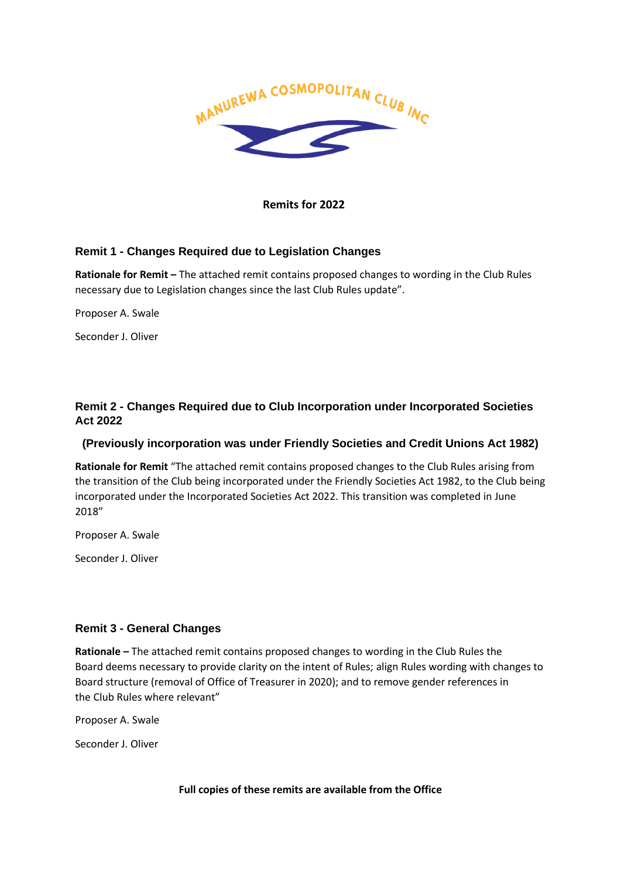

**Remits for 2022** 

## **Remit 1 - Changes Required due to Legislation Changes**

**Rationale for Remit –** The attached remit contains proposed changes to wording in the Club Rules necessary due to Legislation changes since the last Club Rules update".

Proposer A. Swale

Seconder J. Oliver

## **Remit 2 - Changes Required due to Club Incorporation under Incorporated Societies Act 2022**

## **(Previously incorporation was under Friendly Societies and Credit Unions Act 1982)**

**Rationale for Remit** "The attached remit contains proposed changes to the Club Rules arising from the transition of the Club being incorporated under the Friendly Societies Act 1982, to the Club being incorporated under the Incorporated Societies Act 2022. This transition was completed in June 2018"

Proposer A. Swale

Seconder J. Oliver

## **Remit 3 - General Changes**

**Rationale –** The attached remit contains proposed changes to wording in the Club Rules the Board deems necessary to provide clarity on the intent of Rules; align Rules wording with changes to Board structure (removal of Office of Treasurer in 2020); and to remove gender references in the Club Rules where relevant"

Proposer A. Swale

Seconder J. Oliver

**Full copies of these remits are available from the Office**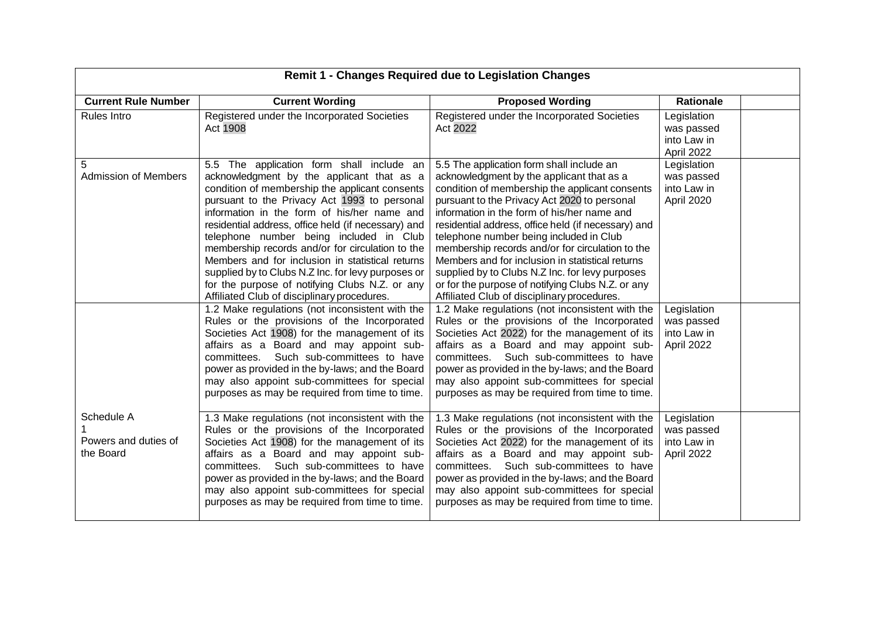| <b>Remit 1 - Changes Required due to Legislation Changes</b> |                                                                                                                                                                                                                                                                                                                                                                                                                                                                                                                                                                                                                                                             |                                                                                                                                                                                                                                                                                                                                                                                                                                                                                                                                                                                                                                                             |                                                                       |  |
|--------------------------------------------------------------|-------------------------------------------------------------------------------------------------------------------------------------------------------------------------------------------------------------------------------------------------------------------------------------------------------------------------------------------------------------------------------------------------------------------------------------------------------------------------------------------------------------------------------------------------------------------------------------------------------------------------------------------------------------|-------------------------------------------------------------------------------------------------------------------------------------------------------------------------------------------------------------------------------------------------------------------------------------------------------------------------------------------------------------------------------------------------------------------------------------------------------------------------------------------------------------------------------------------------------------------------------------------------------------------------------------------------------------|-----------------------------------------------------------------------|--|
| <b>Current Rule Number</b>                                   | <b>Current Wording</b>                                                                                                                                                                                                                                                                                                                                                                                                                                                                                                                                                                                                                                      | <b>Proposed Wording</b>                                                                                                                                                                                                                                                                                                                                                                                                                                                                                                                                                                                                                                     | <b>Rationale</b>                                                      |  |
| Rules Intro                                                  | Registered under the Incorporated Societies<br>Act 1908                                                                                                                                                                                                                                                                                                                                                                                                                                                                                                                                                                                                     | Registered under the Incorporated Societies<br>Act 2022                                                                                                                                                                                                                                                                                                                                                                                                                                                                                                                                                                                                     | Legislation<br>was passed<br>into Law in<br>April 2022                |  |
| 5<br><b>Admission of Members</b>                             | 5.5 The application form shall include an<br>acknowledgment by the applicant that as a<br>condition of membership the applicant consents<br>pursuant to the Privacy Act 1993 to personal<br>information in the form of his/her name and<br>residential address, office held (if necessary) and<br>telephone number being included in Club<br>membership records and/or for circulation to the<br>Members and for inclusion in statistical returns<br>supplied by to Clubs N.Z Inc. for levy purposes or<br>for the purpose of notifying Clubs N.Z. or any<br>Affiliated Club of disciplinary procedures.<br>1.2 Make regulations (not inconsistent with the | 5.5 The application form shall include an<br>acknowledgment by the applicant that as a<br>condition of membership the applicant consents<br>pursuant to the Privacy Act 2020 to personal<br>information in the form of his/her name and<br>residential address, office held (if necessary) and<br>telephone number being included in Club<br>membership records and/or for circulation to the<br>Members and for inclusion in statistical returns<br>supplied by to Clubs N.Z Inc. for levy purposes<br>or for the purpose of notifying Clubs N.Z. or any<br>Affiliated Club of disciplinary procedures.<br>1.2 Make regulations (not inconsistent with the | Legislation<br>was passed<br>into Law in<br>April 2020<br>Legislation |  |
|                                                              | Rules or the provisions of the Incorporated<br>Societies Act 1908) for the management of its<br>affairs as a Board and may appoint sub-<br>committees. Such sub-committees to have<br>power as provided in the by-laws; and the Board<br>may also appoint sub-committees for special<br>purposes as may be required from time to time.                                                                                                                                                                                                                                                                                                                      | Rules or the provisions of the Incorporated<br>Societies Act 2022) for the management of its<br>affairs as a Board and may appoint sub-<br>committees. Such sub-committees to have<br>power as provided in the by-laws; and the Board<br>may also appoint sub-committees for special<br>purposes as may be required from time to time.                                                                                                                                                                                                                                                                                                                      | was passed<br>into Law in<br>April 2022                               |  |
| Schedule A<br>Powers and duties of<br>the Board              | 1.3 Make regulations (not inconsistent with the<br>Rules or the provisions of the Incorporated<br>Societies Act 1908) for the management of its<br>affairs as a Board and may appoint sub-<br>committees. Such sub-committees to have<br>power as provided in the by-laws; and the Board<br>may also appoint sub-committees for special<br>purposes as may be required from time to time.                                                                                                                                                                                                                                                                   | 1.3 Make regulations (not inconsistent with the<br>Rules or the provisions of the Incorporated<br>Societies Act 2022) for the management of its<br>affairs as a Board and may appoint sub-<br>committees. Such sub-committees to have<br>power as provided in the by-laws; and the Board<br>may also appoint sub-committees for special<br>purposes as may be required from time to time.                                                                                                                                                                                                                                                                   | Legislation<br>was passed<br>into Law in<br>April 2022                |  |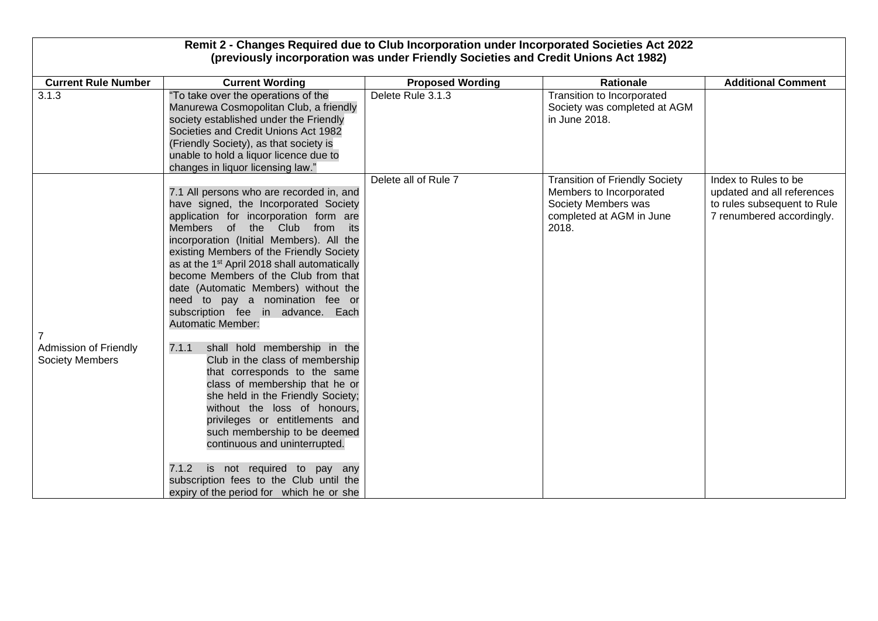|                                                        | Remit 2 - Changes Required due to Club Incorporation under Incorporated Societies Act 2022<br>(previously incorporation was under Friendly Societies and Credit Unions Act 1982)                                                                                                                                                                                                                                                                                                                                                                                                                                                                                                                                                                                                                                                                                                                                                                        |                         |                                                                                                                              |                                                                                                                |
|--------------------------------------------------------|---------------------------------------------------------------------------------------------------------------------------------------------------------------------------------------------------------------------------------------------------------------------------------------------------------------------------------------------------------------------------------------------------------------------------------------------------------------------------------------------------------------------------------------------------------------------------------------------------------------------------------------------------------------------------------------------------------------------------------------------------------------------------------------------------------------------------------------------------------------------------------------------------------------------------------------------------------|-------------------------|------------------------------------------------------------------------------------------------------------------------------|----------------------------------------------------------------------------------------------------------------|
| <b>Current Rule Number</b>                             | <b>Current Wording</b>                                                                                                                                                                                                                                                                                                                                                                                                                                                                                                                                                                                                                                                                                                                                                                                                                                                                                                                                  | <b>Proposed Wording</b> | <b>Rationale</b>                                                                                                             | <b>Additional Comment</b>                                                                                      |
| 3.1.3                                                  | "To take over the operations of the<br>Manurewa Cosmopolitan Club, a friendly<br>society established under the Friendly<br>Societies and Credit Unions Act 1982<br>(Friendly Society), as that society is<br>unable to hold a liquor licence due to<br>changes in liquor licensing law."                                                                                                                                                                                                                                                                                                                                                                                                                                                                                                                                                                                                                                                                | Delete Rule 3.1.3       | Transition to Incorporated<br>Society was completed at AGM<br>in June 2018.                                                  |                                                                                                                |
| <b>Admission of Friendly</b><br><b>Society Members</b> | 7.1 All persons who are recorded in, and<br>have signed, the Incorporated Society<br>application for incorporation form are<br>Members of the Club from its<br>incorporation (Initial Members). All the<br>existing Members of the Friendly Society<br>as at the 1 <sup>st</sup> April 2018 shall automatically<br>become Members of the Club from that<br>date (Automatic Members) without the<br>need to pay a nomination fee or<br>subscription fee in advance. Each<br><b>Automatic Member:</b><br>shall hold membership in the<br>7.1.1<br>Club in the class of membership<br>that corresponds to the same<br>class of membership that he or<br>she held in the Friendly Society;<br>without the loss of honours,<br>privileges or entitlements and<br>such membership to be deemed<br>continuous and uninterrupted.<br>7.1.2<br>is not required to pay any<br>subscription fees to the Club until the<br>expiry of the period for which he or she | Delete all of Rule 7    | <b>Transition of Friendly Society</b><br>Members to Incorporated<br>Society Members was<br>completed at AGM in June<br>2018. | Index to Rules to be<br>updated and all references<br>to rules subsequent to Rule<br>7 renumbered accordingly. |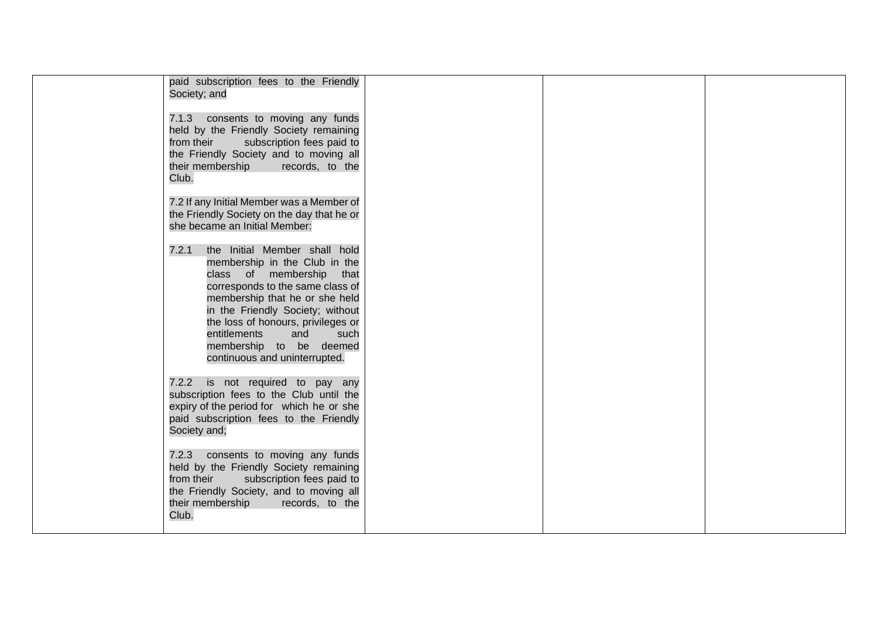| paid subscription fees to the Friendly<br>Society; and                                                                                                                                                                                                                                                                                            |  |  |
|---------------------------------------------------------------------------------------------------------------------------------------------------------------------------------------------------------------------------------------------------------------------------------------------------------------------------------------------------|--|--|
| 7.1.3 consents to moving any funds<br>held by the Friendly Society remaining<br>from their<br>subscription fees paid to<br>the Friendly Society and to moving all<br>their membership records, to the<br>Club.                                                                                                                                    |  |  |
| 7.2 If any Initial Member was a Member of<br>the Friendly Society on the day that he or<br>she became an Initial Member:                                                                                                                                                                                                                          |  |  |
| 7.2.1<br>the Initial Member shall hold<br>membership in the Club in the<br>class of membership<br>that<br>corresponds to the same class of<br>membership that he or she held<br>in the Friendly Society; without<br>the loss of honours, privileges or<br>entitlements<br>and<br>such<br>membership to be deemed<br>continuous and uninterrupted. |  |  |
| 7.2.2 is not required to pay any<br>subscription fees to the Club until the<br>expiry of the period for which he or she<br>paid subscription fees to the Friendly<br>Society and;                                                                                                                                                                 |  |  |
| 7.2.3 consents to moving any funds<br>held by the Friendly Society remaining<br>from their<br>subscription fees paid to<br>the Friendly Society, and to moving all<br>their membership<br>records, to the<br>Club.                                                                                                                                |  |  |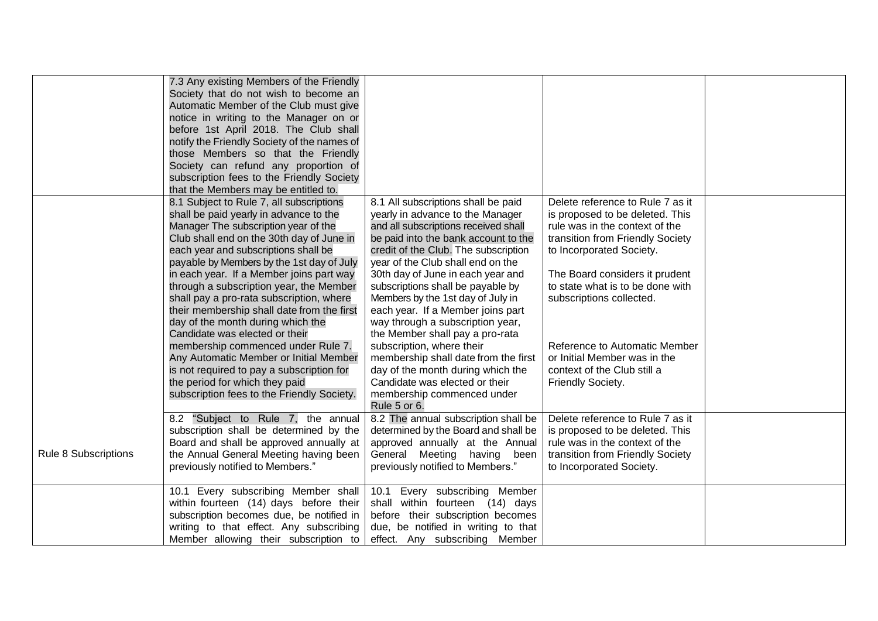|                      | 7.3 Any existing Members of the Friendly<br>Society that do not wish to become an<br>Automatic Member of the Club must give<br>notice in writing to the Manager on or<br>before 1st April 2018. The Club shall<br>notify the Friendly Society of the names of<br>those Members so that the Friendly<br>Society can refund any proportion of<br>subscription fees to the Friendly Society<br>that the Members may be entitled to.                                                                                                                                                                                                                                                                                                  |                                                                                                                                                                                                                                                                                                                                                                                                                                                                                                                                                                                                                                                           |                                                                                                                                                                                                                                                                                                                                                                                              |  |
|----------------------|-----------------------------------------------------------------------------------------------------------------------------------------------------------------------------------------------------------------------------------------------------------------------------------------------------------------------------------------------------------------------------------------------------------------------------------------------------------------------------------------------------------------------------------------------------------------------------------------------------------------------------------------------------------------------------------------------------------------------------------|-----------------------------------------------------------------------------------------------------------------------------------------------------------------------------------------------------------------------------------------------------------------------------------------------------------------------------------------------------------------------------------------------------------------------------------------------------------------------------------------------------------------------------------------------------------------------------------------------------------------------------------------------------------|----------------------------------------------------------------------------------------------------------------------------------------------------------------------------------------------------------------------------------------------------------------------------------------------------------------------------------------------------------------------------------------------|--|
|                      | 8.1 Subject to Rule 7, all subscriptions<br>shall be paid yearly in advance to the<br>Manager The subscription year of the<br>Club shall end on the 30th day of June in<br>each year and subscriptions shall be<br>payable by Members by the 1st day of July<br>in each year. If a Member joins part way<br>through a subscription year, the Member<br>shall pay a pro-rata subscription, where<br>their membership shall date from the first<br>day of the month during which the<br>Candidate was elected or their<br>membership commenced under Rule 7.<br>Any Automatic Member or Initial Member<br>is not required to pay a subscription for<br>the period for which they paid<br>subscription fees to the Friendly Society. | 8.1 All subscriptions shall be paid<br>yearly in advance to the Manager<br>and all subscriptions received shall<br>be paid into the bank account to the<br>credit of the Club. The subscription<br>year of the Club shall end on the<br>30th day of June in each year and<br>subscriptions shall be payable by<br>Members by the 1st day of July in<br>each year. If a Member joins part<br>way through a subscription year,<br>the Member shall pay a pro-rata<br>subscription, where their<br>membership shall date from the first<br>day of the month during which the<br>Candidate was elected or their<br>membership commenced under<br>Rule 5 or 6. | Delete reference to Rule 7 as it<br>is proposed to be deleted. This<br>rule was in the context of the<br>transition from Friendly Society<br>to Incorporated Society.<br>The Board considers it prudent<br>to state what is to be done with<br>subscriptions collected.<br>Reference to Automatic Member<br>or Initial Member was in the<br>context of the Club still a<br>Friendly Society. |  |
| Rule 8 Subscriptions | 8.2 "Subject to Rule 7, the annual<br>subscription shall be determined by the<br>Board and shall be approved annually at<br>the Annual General Meeting having been<br>previously notified to Members."                                                                                                                                                                                                                                                                                                                                                                                                                                                                                                                            | 8.2 The annual subscription shall be<br>determined by the Board and shall be<br>approved annually at the Annual<br>General Meeting having been<br>previously notified to Members."                                                                                                                                                                                                                                                                                                                                                                                                                                                                        | Delete reference to Rule 7 as it<br>is proposed to be deleted. This<br>rule was in the context of the<br>transition from Friendly Society<br>to Incorporated Society.                                                                                                                                                                                                                        |  |
|                      | 10.1 Every subscribing Member shall<br>within fourteen (14) days before their<br>subscription becomes due, be notified in<br>writing to that effect. Any subscribing<br>Member allowing their subscription to                                                                                                                                                                                                                                                                                                                                                                                                                                                                                                                     | Every subscribing Member<br>10.1<br>shall within fourteen (14) days<br>before their subscription becomes<br>due, be notified in writing to that<br>effect. Any subscribing Member                                                                                                                                                                                                                                                                                                                                                                                                                                                                         |                                                                                                                                                                                                                                                                                                                                                                                              |  |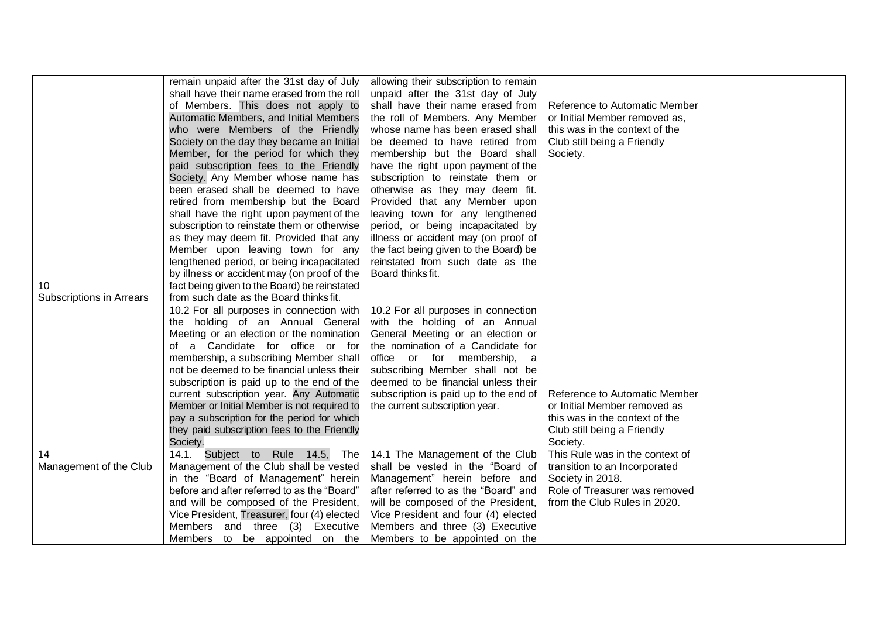<span id="page-5-0"></span>

|                          | remain unpaid after the 31st day of July<br>shall have their name erased from the roll<br>of Members. This does not apply to<br>Automatic Members, and Initial Members<br>who were Members of the Friendly<br>Society on the day they became an Initial<br>Member, for the period for which they<br>paid subscription fees to the Friendly<br>Society. Any Member whose name has<br>been erased shall be deemed to have<br>retired from membership but the Board<br>shall have the right upon payment of the<br>subscription to reinstate them or otherwise<br>as they may deem fit. Provided that any<br>Member upon leaving town for any<br>lengthened period, or being incapacitated<br>by illness or accident may (on proof of the | allowing their subscription to remain<br>unpaid after the 31st day of July<br>shall have their name erased from<br>the roll of Members. Any Member<br>whose name has been erased shall<br>be deemed to have retired from<br>membership but the Board shall<br>have the right upon payment of the<br>subscription to reinstate them or<br>otherwise as they may deem fit.<br>Provided that any Member upon<br>leaving town for any lengthened<br>period, or being incapacitated by<br>illness or accident may (on proof of<br>the fact being given to the Board) be<br>reinstated from such date as the<br>Board thinks fit. | Reference to Automatic Member<br>or Initial Member removed as,<br>this was in the context of the<br>Club still being a Friendly<br>Society. |  |
|--------------------------|----------------------------------------------------------------------------------------------------------------------------------------------------------------------------------------------------------------------------------------------------------------------------------------------------------------------------------------------------------------------------------------------------------------------------------------------------------------------------------------------------------------------------------------------------------------------------------------------------------------------------------------------------------------------------------------------------------------------------------------|-----------------------------------------------------------------------------------------------------------------------------------------------------------------------------------------------------------------------------------------------------------------------------------------------------------------------------------------------------------------------------------------------------------------------------------------------------------------------------------------------------------------------------------------------------------------------------------------------------------------------------|---------------------------------------------------------------------------------------------------------------------------------------------|--|
| 10                       | fact being given to the Board) be reinstated                                                                                                                                                                                                                                                                                                                                                                                                                                                                                                                                                                                                                                                                                           |                                                                                                                                                                                                                                                                                                                                                                                                                                                                                                                                                                                                                             |                                                                                                                                             |  |
| Subscriptions in Arrears | from such date as the Board thinks fit.<br>10.2 For all purposes in connection with                                                                                                                                                                                                                                                                                                                                                                                                                                                                                                                                                                                                                                                    | 10.2 For all purposes in connection                                                                                                                                                                                                                                                                                                                                                                                                                                                                                                                                                                                         |                                                                                                                                             |  |
|                          | the holding of an Annual General                                                                                                                                                                                                                                                                                                                                                                                                                                                                                                                                                                                                                                                                                                       | with the holding of an Annual                                                                                                                                                                                                                                                                                                                                                                                                                                                                                                                                                                                               |                                                                                                                                             |  |
|                          | Meeting or an election or the nomination                                                                                                                                                                                                                                                                                                                                                                                                                                                                                                                                                                                                                                                                                               | General Meeting or an election or                                                                                                                                                                                                                                                                                                                                                                                                                                                                                                                                                                                           |                                                                                                                                             |  |
|                          | of a Candidate for office or for                                                                                                                                                                                                                                                                                                                                                                                                                                                                                                                                                                                                                                                                                                       | the nomination of a Candidate for                                                                                                                                                                                                                                                                                                                                                                                                                                                                                                                                                                                           |                                                                                                                                             |  |
|                          | membership, a subscribing Member shall<br>not be deemed to be financial unless their                                                                                                                                                                                                                                                                                                                                                                                                                                                                                                                                                                                                                                                   | office or for membership,<br>a<br>subscribing Member shall not be                                                                                                                                                                                                                                                                                                                                                                                                                                                                                                                                                           |                                                                                                                                             |  |
|                          | subscription is paid up to the end of the                                                                                                                                                                                                                                                                                                                                                                                                                                                                                                                                                                                                                                                                                              | deemed to be financial unless their                                                                                                                                                                                                                                                                                                                                                                                                                                                                                                                                                                                         |                                                                                                                                             |  |
|                          | current subscription year. Any Automatic                                                                                                                                                                                                                                                                                                                                                                                                                                                                                                                                                                                                                                                                                               | subscription is paid up to the end of                                                                                                                                                                                                                                                                                                                                                                                                                                                                                                                                                                                       | Reference to Automatic Member                                                                                                               |  |
|                          | Member or Initial Member is not required to                                                                                                                                                                                                                                                                                                                                                                                                                                                                                                                                                                                                                                                                                            | the current subscription year.                                                                                                                                                                                                                                                                                                                                                                                                                                                                                                                                                                                              | or Initial Member removed as                                                                                                                |  |
|                          | pay a subscription for the period for which                                                                                                                                                                                                                                                                                                                                                                                                                                                                                                                                                                                                                                                                                            |                                                                                                                                                                                                                                                                                                                                                                                                                                                                                                                                                                                                                             | this was in the context of the                                                                                                              |  |
|                          | they paid subscription fees to the Friendly                                                                                                                                                                                                                                                                                                                                                                                                                                                                                                                                                                                                                                                                                            |                                                                                                                                                                                                                                                                                                                                                                                                                                                                                                                                                                                                                             | Club still being a Friendly                                                                                                                 |  |
|                          | Society.                                                                                                                                                                                                                                                                                                                                                                                                                                                                                                                                                                                                                                                                                                                               |                                                                                                                                                                                                                                                                                                                                                                                                                                                                                                                                                                                                                             | Society.                                                                                                                                    |  |
| 14                       | 14.1. Subject to Rule 14.5, The                                                                                                                                                                                                                                                                                                                                                                                                                                                                                                                                                                                                                                                                                                        | 14.1 The Management of the Club                                                                                                                                                                                                                                                                                                                                                                                                                                                                                                                                                                                             | This Rule was in the context of                                                                                                             |  |
| Management of the Club   | Management of the Club shall be vested<br>in the "Board of Management" herein                                                                                                                                                                                                                                                                                                                                                                                                                                                                                                                                                                                                                                                          | shall be vested in the "Board of<br>Management" herein before and                                                                                                                                                                                                                                                                                                                                                                                                                                                                                                                                                           | transition to an Incorporated<br>Society in 2018.                                                                                           |  |
|                          | before and after referred to as the "Board"                                                                                                                                                                                                                                                                                                                                                                                                                                                                                                                                                                                                                                                                                            | after referred to as the "Board" and                                                                                                                                                                                                                                                                                                                                                                                                                                                                                                                                                                                        | Role of Treasurer was removed                                                                                                               |  |
|                          | and will be composed of the President,                                                                                                                                                                                                                                                                                                                                                                                                                                                                                                                                                                                                                                                                                                 | will be composed of the President,                                                                                                                                                                                                                                                                                                                                                                                                                                                                                                                                                                                          | from the Club Rules in 2020.                                                                                                                |  |
|                          | Vice President, Treasurer, four (4) elected                                                                                                                                                                                                                                                                                                                                                                                                                                                                                                                                                                                                                                                                                            | Vice President and four (4) elected                                                                                                                                                                                                                                                                                                                                                                                                                                                                                                                                                                                         |                                                                                                                                             |  |
|                          | Members and three (3) Executive                                                                                                                                                                                                                                                                                                                                                                                                                                                                                                                                                                                                                                                                                                        | Members and three (3) Executive                                                                                                                                                                                                                                                                                                                                                                                                                                                                                                                                                                                             |                                                                                                                                             |  |
|                          | Members to be appointed on the                                                                                                                                                                                                                                                                                                                                                                                                                                                                                                                                                                                                                                                                                                         | Members to be appointed on the                                                                                                                                                                                                                                                                                                                                                                                                                                                                                                                                                                                              |                                                                                                                                             |  |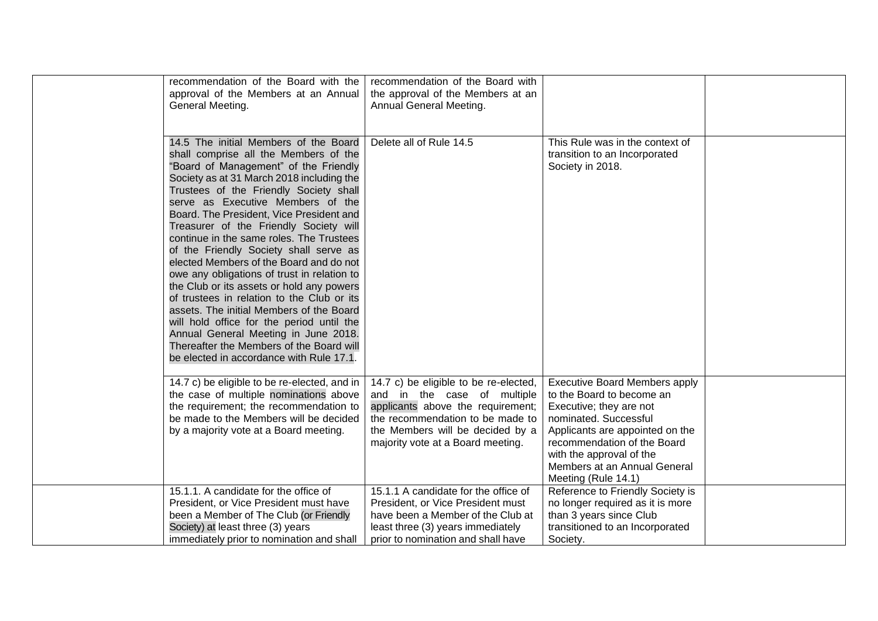| recommendation of the Board with the<br>approval of the Members at an Annual<br>General Meeting.                                                                                                                                                                                                                                                                                                                                                                                                                                                                                                                                                                                                                                                                                                                                              | recommendation of the Board with<br>the approval of the Members at an<br>Annual General Meeting.                                                                                                                       |                                                                                                                                                                                                                                                                            |  |
|-----------------------------------------------------------------------------------------------------------------------------------------------------------------------------------------------------------------------------------------------------------------------------------------------------------------------------------------------------------------------------------------------------------------------------------------------------------------------------------------------------------------------------------------------------------------------------------------------------------------------------------------------------------------------------------------------------------------------------------------------------------------------------------------------------------------------------------------------|------------------------------------------------------------------------------------------------------------------------------------------------------------------------------------------------------------------------|----------------------------------------------------------------------------------------------------------------------------------------------------------------------------------------------------------------------------------------------------------------------------|--|
| 14.5 The initial Members of the Board<br>shall comprise all the Members of the<br>"Board of Management" of the Friendly<br>Society as at 31 March 2018 including the<br>Trustees of the Friendly Society shall<br>serve as Executive Members of the<br>Board. The President, Vice President and<br>Treasurer of the Friendly Society will<br>continue in the same roles. The Trustees<br>of the Friendly Society shall serve as<br>elected Members of the Board and do not<br>owe any obligations of trust in relation to<br>the Club or its assets or hold any powers<br>of trustees in relation to the Club or its<br>assets. The initial Members of the Board<br>will hold office for the period until the<br>Annual General Meeting in June 2018.<br>Thereafter the Members of the Board will<br>be elected in accordance with Rule 17.1. | Delete all of Rule 14.5                                                                                                                                                                                                | This Rule was in the context of<br>transition to an Incorporated<br>Society in 2018.                                                                                                                                                                                       |  |
| 14.7 c) be eligible to be re-elected, and in<br>the case of multiple nominations above<br>the requirement; the recommendation to<br>be made to the Members will be decided<br>by a majority vote at a Board meeting.                                                                                                                                                                                                                                                                                                                                                                                                                                                                                                                                                                                                                          | 14.7 c) be eligible to be re-elected,<br>and in the case of multiple<br>applicants above the requirement;<br>the recommendation to be made to<br>the Members will be decided by a<br>majority vote at a Board meeting. | <b>Executive Board Members apply</b><br>to the Board to become an<br>Executive; they are not<br>nominated. Successful<br>Applicants are appointed on the<br>recommendation of the Board<br>with the approval of the<br>Members at an Annual General<br>Meeting (Rule 14.1) |  |
| 15.1.1. A candidate for the office of<br>President, or Vice President must have<br>been a Member of The Club (or Friendly<br>Society) at least three (3) years<br>immediately prior to nomination and shall                                                                                                                                                                                                                                                                                                                                                                                                                                                                                                                                                                                                                                   | 15.1.1 A candidate for the office of<br>President, or Vice President must<br>have been a Member of the Club at<br>least three (3) years immediately<br>prior to nomination and shall have                              | Reference to Friendly Society is<br>no longer required as it is more<br>than 3 years since Club<br>transitioned to an Incorporated<br>Society.                                                                                                                             |  |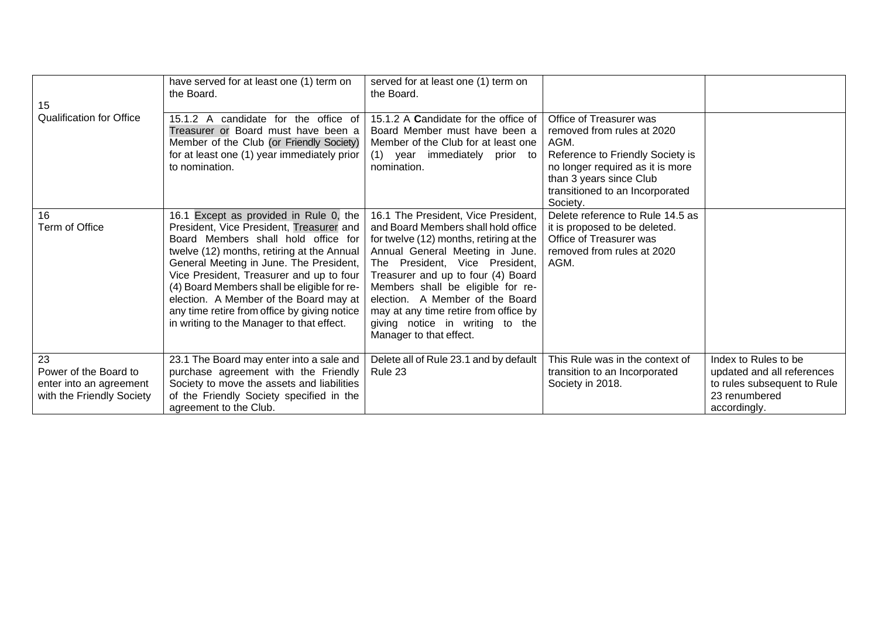| 15                                                                                  | have served for at least one (1) term on<br>the Board.                                                                                                                                                                                                                                                                                                                                                                                               | served for at least one (1) term on<br>the Board.                                                                                                                                                                                                                                                                                                                                                               |                                                                                                                                                                                                                 |                                                                                                                    |
|-------------------------------------------------------------------------------------|------------------------------------------------------------------------------------------------------------------------------------------------------------------------------------------------------------------------------------------------------------------------------------------------------------------------------------------------------------------------------------------------------------------------------------------------------|-----------------------------------------------------------------------------------------------------------------------------------------------------------------------------------------------------------------------------------------------------------------------------------------------------------------------------------------------------------------------------------------------------------------|-----------------------------------------------------------------------------------------------------------------------------------------------------------------------------------------------------------------|--------------------------------------------------------------------------------------------------------------------|
| <b>Qualification for Office</b>                                                     | 15.1.2 A candidate for the office of<br>Treasurer or Board must have been a<br>Member of the Club (or Friendly Society)<br>for at least one (1) year immediately prior<br>to nomination.                                                                                                                                                                                                                                                             | 15.1.2 A Candidate for the office of<br>Board Member must have been a<br>Member of the Club for at least one<br>(1) year immediately<br>prior to<br>nomination.                                                                                                                                                                                                                                                 | Office of Treasurer was<br>removed from rules at 2020<br>AGM.<br>Reference to Friendly Society is<br>no longer required as it is more<br>than 3 years since Club<br>transitioned to an Incorporated<br>Society. |                                                                                                                    |
| 16<br><b>Term of Office</b>                                                         | 16.1 Except as provided in Rule 0, the<br>President, Vice President, Treasurer and<br>Board Members shall hold office for<br>twelve (12) months, retiring at the Annual<br>General Meeting in June. The President,<br>Vice President, Treasurer and up to four<br>(4) Board Members shall be eligible for re-<br>election. A Member of the Board may at<br>any time retire from office by giving notice<br>in writing to the Manager to that effect. | 16.1 The President, Vice President,<br>and Board Members shall hold office<br>for twelve (12) months, retiring at the<br>Annual General Meeting in June.<br>The President, Vice President,<br>Treasurer and up to four (4) Board<br>Members shall be eligible for re-<br>election. A Member of the Board<br>may at any time retire from office by<br>giving notice in writing to the<br>Manager to that effect. | Delete reference to Rule 14.5 as<br>it is proposed to be deleted.<br>Office of Treasurer was<br>removed from rules at 2020<br>AGM.                                                                              |                                                                                                                    |
| 23<br>Power of the Board to<br>enter into an agreement<br>with the Friendly Society | 23.1 The Board may enter into a sale and<br>purchase agreement with the Friendly<br>Society to move the assets and liabilities<br>of the Friendly Society specified in the<br>agreement to the Club.                                                                                                                                                                                                                                                 | Delete all of Rule 23.1 and by default<br>Rule 23                                                                                                                                                                                                                                                                                                                                                               | This Rule was in the context of<br>transition to an Incorporated<br>Society in 2018.                                                                                                                            | Index to Rules to be<br>updated and all references<br>to rules subsequent to Rule<br>23 renumbered<br>accordingly. |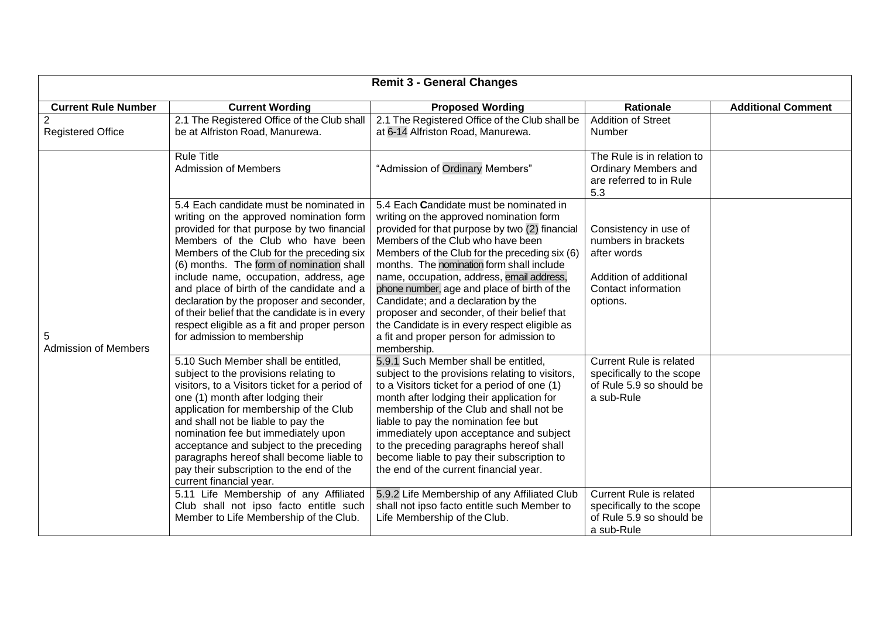|                                            |                                                                                                                                                                                                                                                                                                                                                                                                                                                                                                                                    | <b>Remit 3 - General Changes</b>                                                                                                                                                                                                                                                                                                                                                                                                                                                                                                                                      |                                                                                                                                  |                           |
|--------------------------------------------|------------------------------------------------------------------------------------------------------------------------------------------------------------------------------------------------------------------------------------------------------------------------------------------------------------------------------------------------------------------------------------------------------------------------------------------------------------------------------------------------------------------------------------|-----------------------------------------------------------------------------------------------------------------------------------------------------------------------------------------------------------------------------------------------------------------------------------------------------------------------------------------------------------------------------------------------------------------------------------------------------------------------------------------------------------------------------------------------------------------------|----------------------------------------------------------------------------------------------------------------------------------|---------------------------|
| <b>Current Rule Number</b>                 | <b>Current Wording</b>                                                                                                                                                                                                                                                                                                                                                                                                                                                                                                             | <b>Proposed Wording</b>                                                                                                                                                                                                                                                                                                                                                                                                                                                                                                                                               | <b>Rationale</b>                                                                                                                 | <b>Additional Comment</b> |
| $\overline{2}$<br><b>Registered Office</b> | 2.1 The Registered Office of the Club shall<br>be at Alfriston Road, Manurewa.                                                                                                                                                                                                                                                                                                                                                                                                                                                     | 2.1 The Registered Office of the Club shall be<br>at 6-14 Alfriston Road, Manurewa.                                                                                                                                                                                                                                                                                                                                                                                                                                                                                   | <b>Addition of Street</b><br>Number                                                                                              |                           |
|                                            | <b>Rule Title</b><br><b>Admission of Members</b>                                                                                                                                                                                                                                                                                                                                                                                                                                                                                   | "Admission of Ordinary Members"                                                                                                                                                                                                                                                                                                                                                                                                                                                                                                                                       | The Rule is in relation to<br><b>Ordinary Members and</b><br>are referred to in Rule<br>5.3                                      |                           |
| 5<br><b>Admission of Members</b>           | 5.4 Each candidate must be nominated in<br>writing on the approved nomination form<br>provided for that purpose by two financial<br>Members of the Club who have been<br>Members of the Club for the preceding six<br>(6) months. The form of nomination shall<br>include name, occupation, address, age<br>and place of birth of the candidate and a<br>declaration by the proposer and seconder,<br>of their belief that the candidate is in every<br>respect eligible as a fit and proper person<br>for admission to membership | 5.4 Each Candidate must be nominated in<br>writing on the approved nomination form<br>provided for that purpose by two (2) financial<br>Members of the Club who have been<br>Members of the Club for the preceding six (6)<br>months. The nomination form shall include<br>name, occupation, address, email address,<br>phone number, age and place of birth of the<br>Candidate; and a declaration by the<br>proposer and seconder, of their belief that<br>the Candidate is in every respect eligible as<br>a fit and proper person for admission to<br>membership. | Consistency in use of<br>numbers in brackets<br>after words<br>Addition of additional<br>Contact information<br>options.         |                           |
|                                            | 5.10 Such Member shall be entitled,<br>subject to the provisions relating to<br>visitors, to a Visitors ticket for a period of<br>one (1) month after lodging their<br>application for membership of the Club<br>and shall not be liable to pay the<br>nomination fee but immediately upon<br>acceptance and subject to the preceding<br>paragraphs hereof shall become liable to<br>pay their subscription to the end of the<br>current financial year.<br>5.11 Life Membership of any Affiliated                                 | 5.9.1 Such Member shall be entitled,<br>subject to the provisions relating to visitors,<br>to a Visitors ticket for a period of one (1)<br>month after lodging their application for<br>membership of the Club and shall not be<br>liable to pay the nomination fee but<br>immediately upon acceptance and subject<br>to the preceding paragraphs hereof shall<br>become liable to pay their subscription to<br>the end of the current financial year.<br>5.9.2 Life Membership of any Affiliated Club                                                                | <b>Current Rule is related</b><br>specifically to the scope<br>of Rule 5.9 so should be<br>a sub-Rule<br>Current Rule is related |                           |
|                                            | Club shall not ipso facto entitle such<br>Member to Life Membership of the Club.                                                                                                                                                                                                                                                                                                                                                                                                                                                   | shall not ipso facto entitle such Member to<br>Life Membership of the Club.                                                                                                                                                                                                                                                                                                                                                                                                                                                                                           | specifically to the scope<br>of Rule 5.9 so should be<br>a sub-Rule                                                              |                           |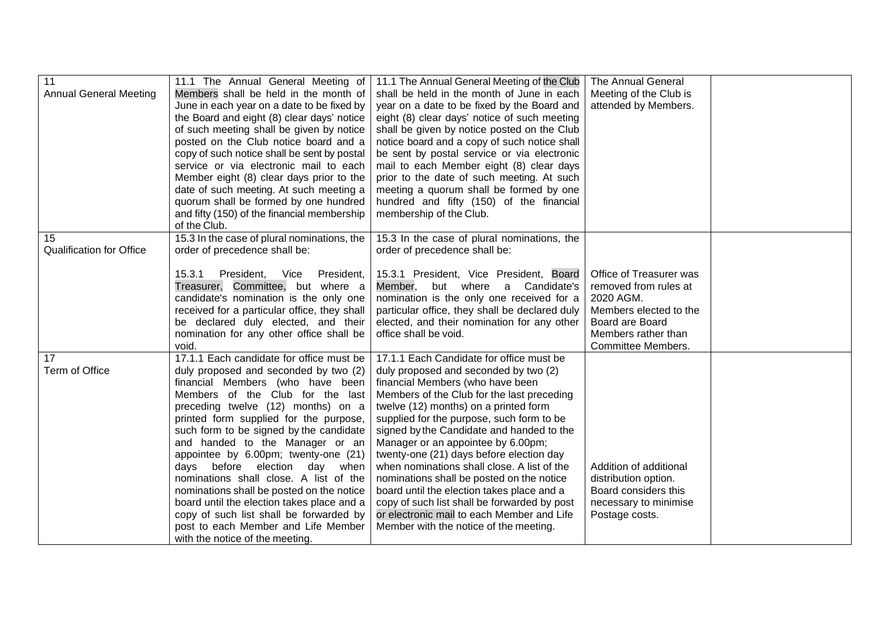| 11<br><b>Annual General Meeting</b>   | 11.1 The Annual General Meeting of<br>Members shall be held in the month of<br>June in each year on a date to be fixed by<br>the Board and eight (8) clear days' notice<br>of such meeting shall be given by notice<br>posted on the Club notice board and a<br>copy of such notice shall be sent by postal                                                                                         | 11.1 The Annual General Meeting of the Club<br>shall be held in the month of June in each<br>year on a date to be fixed by the Board and<br>eight (8) clear days' notice of such meeting<br>shall be given by notice posted on the Club<br>notice board and a copy of such notice shall<br>be sent by postal service or via electronic                                                                                                  | <b>The Annual General</b><br>Meeting of the Club is<br>attended by Members.                                                                                    |  |
|---------------------------------------|-----------------------------------------------------------------------------------------------------------------------------------------------------------------------------------------------------------------------------------------------------------------------------------------------------------------------------------------------------------------------------------------------------|-----------------------------------------------------------------------------------------------------------------------------------------------------------------------------------------------------------------------------------------------------------------------------------------------------------------------------------------------------------------------------------------------------------------------------------------|----------------------------------------------------------------------------------------------------------------------------------------------------------------|--|
|                                       | service or via electronic mail to each<br>Member eight (8) clear days prior to the<br>date of such meeting. At such meeting a<br>quorum shall be formed by one hundred<br>and fifty (150) of the financial membership<br>of the Club.                                                                                                                                                               | mail to each Member eight (8) clear days<br>prior to the date of such meeting. At such<br>meeting a quorum shall be formed by one<br>hundred and fifty (150) of the financial<br>membership of the Club.                                                                                                                                                                                                                                |                                                                                                                                                                |  |
| 15<br><b>Qualification for Office</b> | 15.3 In the case of plural nominations, the<br>order of precedence shall be:                                                                                                                                                                                                                                                                                                                        | 15.3 In the case of plural nominations, the<br>order of precedence shall be:                                                                                                                                                                                                                                                                                                                                                            |                                                                                                                                                                |  |
|                                       | 15.3.1<br>President,<br>President,<br>Vice<br>Treasurer, Committee, but where a<br>candidate's nomination is the only one<br>received for a particular office, they shall<br>be declared duly elected, and their<br>nomination for any other office shall be<br>void.                                                                                                                               | 15.3.1 President, Vice President, Board<br>but where a Candidate's<br>Member,<br>nomination is the only one received for a<br>particular office, they shall be declared duly<br>elected, and their nomination for any other<br>office shall be void.                                                                                                                                                                                    | Office of Treasurer was<br>removed from rules at<br>2020 AGM.<br>Members elected to the<br>Board are Board<br>Members rather than<br><b>Committee Members.</b> |  |
| 17<br>Term of Office                  | 17.1.1 Each candidate for office must be<br>duly proposed and seconded by two (2)<br>financial Members (who have been<br>Members of the Club for the last<br>preceding twelve (12) months) on a<br>printed form supplied for the purpose,<br>such form to be signed by the candidate<br>and handed to the Manager or an<br>appointee by 6.00pm; twenty-one (21)<br>days before election<br>day when | 17.1.1 Each Candidate for office must be<br>duly proposed and seconded by two (2)<br>financial Members (who have been<br>Members of the Club for the last preceding<br>twelve (12) months) on a printed form<br>supplied for the purpose, such form to be<br>signed by the Candidate and handed to the<br>Manager or an appointee by 6.00pm;<br>twenty-one (21) days before election day<br>when nominations shall close. A list of the | Addition of additional                                                                                                                                         |  |
|                                       | nominations shall close. A list of the<br>nominations shall be posted on the notice<br>board until the election takes place and a<br>copy of such list shall be forwarded by<br>post to each Member and Life Member<br>with the notice of the meeting.                                                                                                                                              | nominations shall be posted on the notice<br>board until the election takes place and a<br>copy of such list shall be forwarded by post<br>or electronic mail to each Member and Life<br>Member with the notice of the meeting.                                                                                                                                                                                                         | distribution option.<br>Board considers this<br>necessary to minimise<br>Postage costs.                                                                        |  |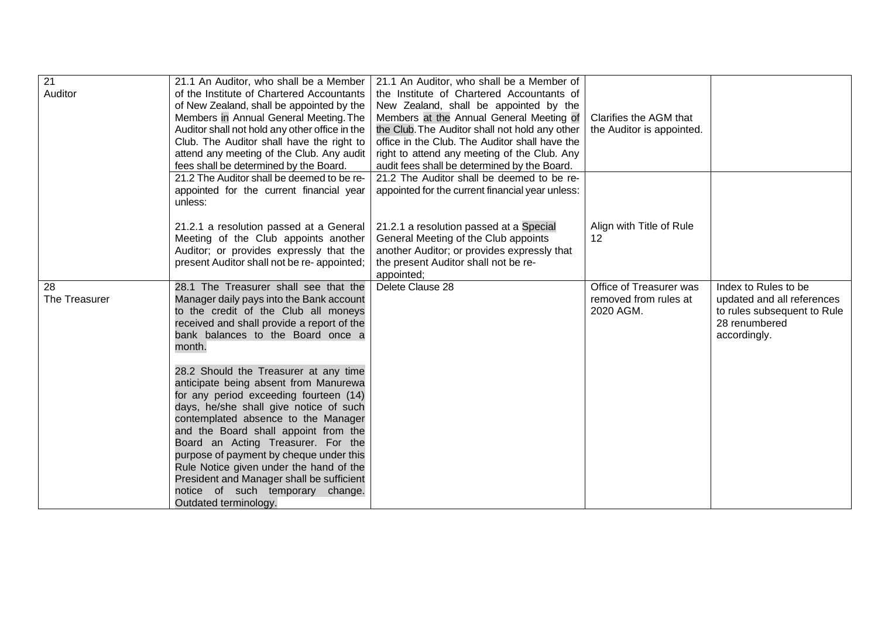| $\overline{21}$<br>Auditor | 21.1 An Auditor, who shall be a Member<br>of the Institute of Chartered Accountants<br>of New Zealand, shall be appointed by the<br>Members in Annual General Meeting. The<br>Auditor shall not hold any other office in the<br>Club. The Auditor shall have the right to<br>attend any meeting of the Club. Any audit                                                                                                                                                                  | 21.1 An Auditor, who shall be a Member of<br>the Institute of Chartered Accountants of<br>New Zealand, shall be appointed by the<br>Members at the Annual General Meeting of<br>the Club. The Auditor shall not hold any other<br>office in the Club. The Auditor shall have the<br>right to attend any meeting of the Club. Any | Clarifies the AGM that<br>the Auditor is appointed.           |                                                                                                                    |
|----------------------------|-----------------------------------------------------------------------------------------------------------------------------------------------------------------------------------------------------------------------------------------------------------------------------------------------------------------------------------------------------------------------------------------------------------------------------------------------------------------------------------------|----------------------------------------------------------------------------------------------------------------------------------------------------------------------------------------------------------------------------------------------------------------------------------------------------------------------------------|---------------------------------------------------------------|--------------------------------------------------------------------------------------------------------------------|
|                            | fees shall be determined by the Board.<br>21.2 The Auditor shall be deemed to be re-<br>appointed for the current financial year<br>unless:                                                                                                                                                                                                                                                                                                                                             | audit fees shall be determined by the Board.<br>21.2 The Auditor shall be deemed to be re-<br>appointed for the current financial year unless:                                                                                                                                                                                   |                                                               |                                                                                                                    |
|                            | 21.2.1 a resolution passed at a General<br>Meeting of the Club appoints another<br>Auditor; or provides expressly that the<br>present Auditor shall not be re-appointed;                                                                                                                                                                                                                                                                                                                | 21.2.1 a resolution passed at a Special<br>General Meeting of the Club appoints<br>another Auditor; or provides expressly that<br>the present Auditor shall not be re-<br>appointed;                                                                                                                                             | Align with Title of Rule<br>$12 \overline{ }$                 |                                                                                                                    |
| 28<br>The Treasurer        | 28.1 The Treasurer shall see that the<br>Manager daily pays into the Bank account<br>to the credit of the Club all moneys<br>received and shall provide a report of the<br>bank balances to the Board once a<br>month.                                                                                                                                                                                                                                                                  | Delete Clause 28                                                                                                                                                                                                                                                                                                                 | Office of Treasurer was<br>removed from rules at<br>2020 AGM. | Index to Rules to be<br>updated and all references<br>to rules subsequent to Rule<br>28 renumbered<br>accordingly. |
|                            | 28.2 Should the Treasurer at any time<br>anticipate being absent from Manurewa<br>for any period exceeding fourteen (14)<br>days, he/she shall give notice of such<br>contemplated absence to the Manager<br>and the Board shall appoint from the<br>Board an Acting Treasurer. For the<br>purpose of payment by cheque under this<br>Rule Notice given under the hand of the<br>President and Manager shall be sufficient<br>notice of such temporary change.<br>Outdated terminology. |                                                                                                                                                                                                                                                                                                                                  |                                                               |                                                                                                                    |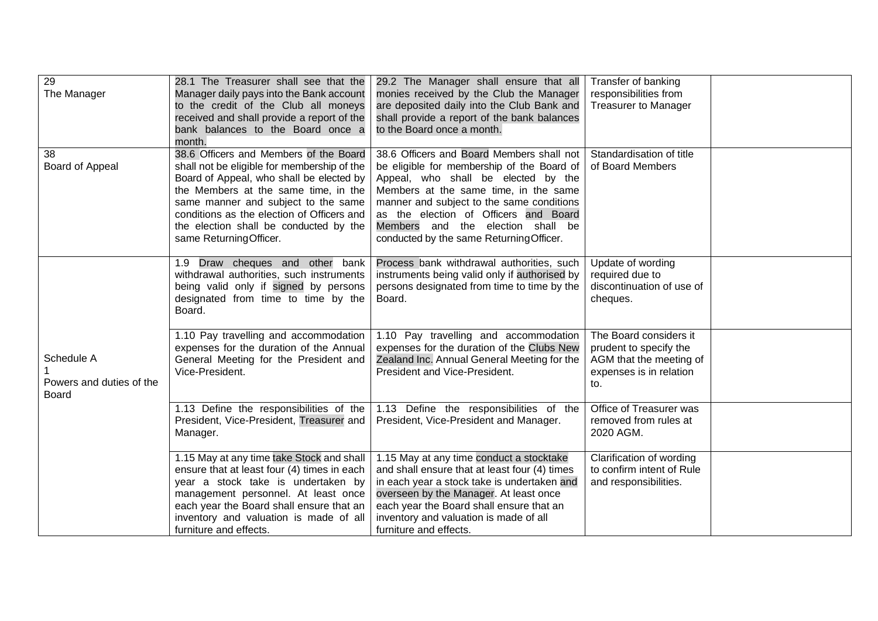| 29<br>The Manager                                      | 28.1 The Treasurer shall see that the<br>Manager daily pays into the Bank account<br>to the credit of the Club all moneys<br>received and shall provide a report of the<br>bank balances to the Board once a<br>month.                                                                                                             | 29.2 The Manager shall ensure that all<br>monies received by the Club the Manager<br>are deposited daily into the Club Bank and<br>shall provide a report of the bank balances<br>to the Board once a month.                                                                                                                                   | Transfer of banking<br>responsibilities from<br><b>Treasurer to Manager</b>                                   |  |
|--------------------------------------------------------|------------------------------------------------------------------------------------------------------------------------------------------------------------------------------------------------------------------------------------------------------------------------------------------------------------------------------------|------------------------------------------------------------------------------------------------------------------------------------------------------------------------------------------------------------------------------------------------------------------------------------------------------------------------------------------------|---------------------------------------------------------------------------------------------------------------|--|
| 38<br>Board of Appeal                                  | 38.6 Officers and Members of the Board<br>shall not be eligible for membership of the<br>Board of Appeal, who shall be elected by<br>the Members at the same time, in the<br>same manner and subject to the same<br>conditions as the election of Officers and<br>the election shall be conducted by the<br>same ReturningOfficer. | 38.6 Officers and Board Members shall not<br>be eligible for membership of the Board of<br>Appeal, who shall be elected by the<br>Members at the same time, in the same<br>manner and subject to the same conditions<br>as the election of Officers and Board<br>Members and the election shall be<br>conducted by the same Returning Officer. | Standardisation of title<br>of Board Members                                                                  |  |
|                                                        | Draw cheques and other bank<br>1.9 <sup>°</sup><br>withdrawal authorities, such instruments<br>being valid only if signed by persons<br>designated from time to time by the<br>Board.                                                                                                                                              | Process bank withdrawal authorities, such<br>instruments being valid only if authorised by<br>persons designated from time to time by the<br>Board.                                                                                                                                                                                            | Update of wording<br>required due to<br>discontinuation of use of<br>cheques.                                 |  |
| Schedule A<br>Powers and duties of the<br><b>Board</b> | 1.10 Pay travelling and accommodation<br>expenses for the duration of the Annual<br>General Meeting for the President and<br>Vice-President.                                                                                                                                                                                       | 1.10 Pay travelling and accommodation<br>expenses for the duration of the Clubs New<br>Zealand Inc. Annual General Meeting for the<br>President and Vice-President.                                                                                                                                                                            | The Board considers it<br>prudent to specify the<br>AGM that the meeting of<br>expenses is in relation<br>to. |  |
|                                                        | 1.13 Define the responsibilities of the<br>President, Vice-President, Treasurer and<br>Manager.                                                                                                                                                                                                                                    | 1.13 Define the responsibilities of the<br>President, Vice-President and Manager.                                                                                                                                                                                                                                                              | Office of Treasurer was<br>removed from rules at<br>2020 AGM.                                                 |  |
|                                                        | 1.15 May at any time take Stock and shall<br>ensure that at least four (4) times in each<br>year a stock take is undertaken by<br>management personnel. At least once<br>each year the Board shall ensure that an<br>inventory and valuation is made of all<br>furniture and effects.                                              | 1.15 May at any time conduct a stocktake<br>and shall ensure that at least four (4) times<br>in each year a stock take is undertaken and<br>overseen by the Manager. At least once<br>each year the Board shall ensure that an<br>inventory and valuation is made of all<br>furniture and effects.                                             | Clarification of wording<br>to confirm intent of Rule<br>and responsibilities.                                |  |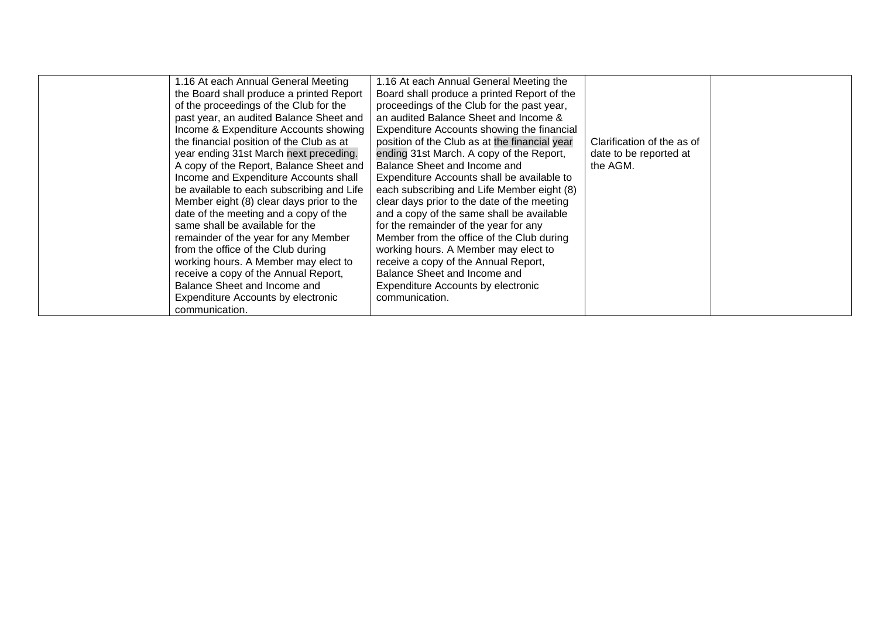| same shall be available for the<br>for the remainder of the year for any<br>Member from the office of the Club during<br>remainder of the year for any Member<br>from the office of the Club during<br>working hours. A Member may elect to<br>working hours. A Member may elect to<br>receive a copy of the Annual Report,<br>Balance Sheet and Income and<br>receive a copy of the Annual Report,<br>Balance Sheet and Income and<br>Expenditure Accounts by electronic<br>Expenditure Accounts by electronic<br>communication. | 1.16 At each Annual General Meeting<br>the Board shall produce a printed Report<br>of the proceedings of the Club for the<br>past year, an audited Balance Sheet and<br>Income & Expenditure Accounts showing<br>the financial position of the Club as at<br>year ending 31st March next preceding.<br>A copy of the Report, Balance Sheet and<br>Income and Expenditure Accounts shall<br>be available to each subscribing and Life<br>Member eight (8) clear days prior to the | 1.16 At each Annual General Meeting the<br>Board shall produce a printed Report of the<br>proceedings of the Club for the past year,<br>an audited Balance Sheet and Income &<br>Expenditure Accounts showing the financial<br>position of the Club as at the financial year<br>ending 31st March. A copy of the Report,<br>Balance Sheet and Income and<br>Expenditure Accounts shall be available to<br>each subscribing and Life Member eight (8)<br>clear days prior to the date of the meeting | Clarification of the as of<br>date to be reported at<br>the AGM. |  |
|-----------------------------------------------------------------------------------------------------------------------------------------------------------------------------------------------------------------------------------------------------------------------------------------------------------------------------------------------------------------------------------------------------------------------------------------------------------------------------------------------------------------------------------|----------------------------------------------------------------------------------------------------------------------------------------------------------------------------------------------------------------------------------------------------------------------------------------------------------------------------------------------------------------------------------------------------------------------------------------------------------------------------------|-----------------------------------------------------------------------------------------------------------------------------------------------------------------------------------------------------------------------------------------------------------------------------------------------------------------------------------------------------------------------------------------------------------------------------------------------------------------------------------------------------|------------------------------------------------------------------|--|
|                                                                                                                                                                                                                                                                                                                                                                                                                                                                                                                                   | date of the meeting and a copy of the                                                                                                                                                                                                                                                                                                                                                                                                                                            | and a copy of the same shall be available                                                                                                                                                                                                                                                                                                                                                                                                                                                           |                                                                  |  |